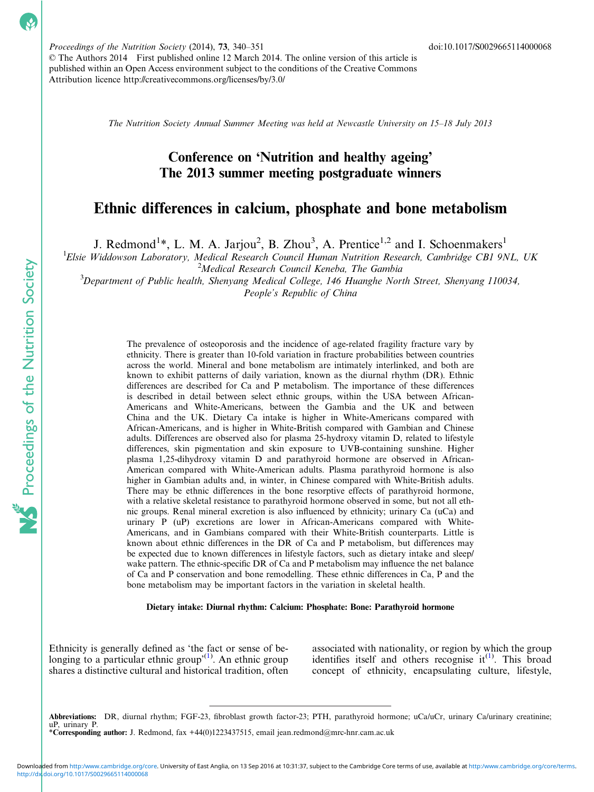Proceedings of the Nutrition Society (2014), 73, 340–351 doi:10.1017/S0029665114000068 © The Authors 2014 First published online 12 March 2014. The online version of this article is published within an Open Access environment subject to the conditions of the Creative Commons Attribution licence http://creativecommons.org/licenses/by/3.0/

The Nutrition Society Annual Summer Meeting was held at Newcastle University on 15–18 July 2013

# Conference on 'Nutrition and healthy ageing' The 2013 summer meeting postgraduate winners

# Ethnic differences in calcium, phosphate and bone metabolism

J. Redmond<sup>1</sup>\*, L. M. A. Jarjou<sup>2</sup>, B. Zhou<sup>3</sup>, A. Prentice<sup>1,2</sup> and I. Schoenmakers<sup>1</sup>

<sup>1</sup>Elsie Widdowson Laboratory, Medical Research Council Human Nutrition Research, Cambridge CB1 9NL, UK

<sup>2</sup>Medical Research Council Keneba, The Gambia

 $3$ Department of Public health, Shenyang Medical College, 146 Huanghe North Street, Shenyang 110034, People's Republic of China

> The prevalence of osteoporosis and the incidence of age-related fragility fracture vary by ethnicity. There is greater than 10-fold variation in fracture probabilities between countries across the world. Mineral and bone metabolism are intimately interlinked, and both are known to exhibit patterns of daily variation, known as the diurnal rhythm (DR). Ethnic differences are described for Ca and P metabolism. The importance of these differences is described in detail between select ethnic groups, within the USA between African-Americans and White-Americans, between the Gambia and the UK and between China and the UK. Dietary Ca intake is higher in White-Americans compared with African-Americans, and is higher in White-British compared with Gambian and Chinese adults. Differences are observed also for plasma 25-hydroxy vitamin D, related to lifestyle differences, skin pigmentation and skin exposure to UVB-containing sunshine. Higher plasma 1,25-dihydroxy vitamin D and parathyroid hormone are observed in African-American compared with White-American adults. Plasma parathyroid hormone is also higher in Gambian adults and, in winter, in Chinese compared with White-British adults. There may be ethnic differences in the bone resorptive effects of parathyroid hormone, with a relative skeletal resistance to parathyroid hormone observed in some, but not all ethnic groups. Renal mineral excretion is also influenced by ethnicity; urinary Ca (uCa) and urinary P (uP) excretions are lower in African-Americans compared with White-Americans, and in Gambians compared with their White-British counterparts. Little is known about ethnic differences in the DR of Ca and P metabolism, but differences may be expected due to known differences in lifestyle factors, such as dietary intake and sleep/ wake pattern. The ethnic-specific DR of Ca and P metabolism may influence the net balance of Ca and P conservation and bone remodelling. These ethnic differences in Ca, P and the bone metabolism may be important factors in the variation in skeletal health.

Dietary intake: Diurnal rhythm: Calcium: Phosphate: Bone: Parathyroid hormone

Ethnicity is generally defined as 'the fact or sense of belonging to a particular ethnic group<sup> $(1)$ </sup>. An ethnic group shares a distinctive cultural and historical tradition, often associated with nationality, or region by which the group identifies itself and others recognise  $it^{(1)}$  $it^{(1)}$  $it^{(1)}$ . This broad concept of ethnicity, encapsulating culture, lifestyle,

<sup>\*</sup>Corresponding author: J. Redmond, fax +44(0)1223437515, email jean.redmond@mrc-hnr.cam.ac.uk Abbreviations: DR, diurnal rhythm; FGF-23, fibroblast growth factor-23; PTH, parathyroid hormone; uCa/uCr, urinary Ca/urinary creatinine; uP, urinary P.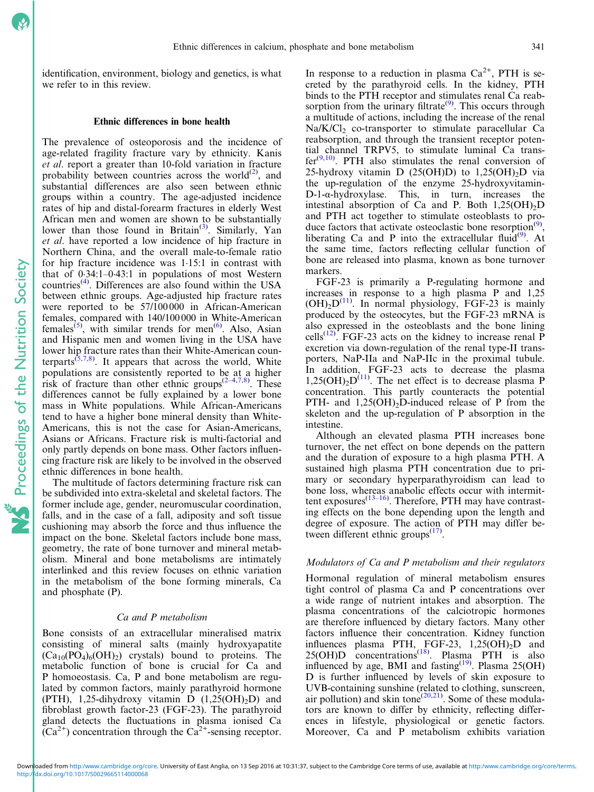Proceedings of the Nutrition Society

Proceedings of the Nutrition Society

identification, environment, biology and genetics, is what we refer to in this review.

### Ethnic differences in bone health

The prevalence of osteoporosis and the incidence of age-related fragility fracture vary by ethnicity. Kanis et al. report a greater than 10-fold variation in fracture probability between countries across the world<sup>[\(2](#page-8-0))</sup>, and substantial differences are also seen between ethnic groups within a country. The age-adjusted incidence rates of hip and distal-forearm fractures in elderly West African men and women are shown to be substantially lower than those found in Britain<sup>[\(3](#page-8-0))</sup>. Similarly, Yan et al. have reported a low incidence of hip fracture in Northern China, and the overall male-to-female ratio for hip fracture incidence was 1·15:1 in contrast with that of 0·34:1–0·43:1 in populations of most Western countries<sup>[\(4\)](#page-8-0)</sup>. Differences are also found within the USA between ethnic groups. Age-adjusted hip fracture rates were reported to be 57/100 000 in African-American females, compared with 140/100 000 in White-American females<sup>[\(5](#page-8-0))</sup>, with similar trends for men<sup>[\(6](#page-8-0))</sup>. Also, Asian and Hispanic men and women living in the USA have lower hip fracture rates than their White-American coun-terparts<sup>[\(5,7,8\)](#page-8-0)</sup>. It appears that across the world, White populations are consistently reported to be at a higher risk of fracture than other ethnic groups<sup> $(2-4,7,8)$  $(2-4,7,8)$  $(2-4,7,8)$  $(2-4,7,8)$ </sup>. These differences cannot be fully explained by a lower bone mass in White populations. While African-Americans tend to have a higher bone mineral density than White-Americans, this is not the case for Asian-Americans, Asians or Africans. Fracture risk is multi-factorial and only partly depends on bone mass. Other factors influencing fracture risk are likely to be involved in the observed ethnic differences in bone health.

The multitude of factors determining fracture risk can be subdivided into extra-skeletal and skeletal factors. The former include age, gender, neuromuscular coordination, falls, and in the case of a fall, adiposity and soft tissue cushioning may absorb the force and thus influence the impact on the bone. Skeletal factors include bone mass, geometry, the rate of bone turnover and mineral metabolism. Mineral and bone metabolisms are intimately interlinked and this review focuses on ethnic variation in the metabolism of the bone forming minerals, Ca and phosphate (P).

### Ca and P metabolism

Bone consists of an extracellular mineralised matrix consisting of mineral salts (mainly hydroxyapatite  $(Ca_{10}(PO_4)_6(OH)_2)$  crystals) bound to proteins. The metabolic function of bone is crucial for Ca and P homoeostasis. Ca, P and bone metabolism are regulated by common factors, mainly parathyroid hormone (PTH), 1,25-dihydroxy vitamin  $D(1,25(OH)_{2}D)$  and fibroblast growth factor-23 (FGF-23). The parathyroid gland detects the fluctuations in plasma ionised Ca  $(Ca^{2+})$  concentration through the  $Ca^{2+}$ -sensing receptor.

In response to a reduction in plasma  $Ca^{2+}$ , PTH is secreted by the parathyroid cells. In the kidney, PTH binds to the PTH receptor and stimulates renal Ca reab-sorption from the urinary filtrate<sup>([9](#page-8-0))</sup>. This occurs through a multitude of actions, including the increase of the renal  $Na/K/Cl<sub>2</sub>$  co-transporter to stimulate paracellular Ca reabsorption, and through the transient receptor potential channel TRPV5, to stimulate luminal Ca transfer $(9,10)$  $(9,10)$ . PTH also stimulates the renal conversion of 25-hydroxy vitamin D (25(OH)D) to  $1,25(OH)_2D$  via the up-regulation of the enzyme 25-hydroxyvitamin-D-1-α-hydroxylase. This, in turn, increases the intestinal absorption of Ca and P. Both  $1,25(OH)_{2}D$ and PTH act together to stimulate osteoblasts to pro-duce factors that activate osteoclastic bone resorption<sup>[\(9](#page-8-0))</sup>, liberating Ca and P into the extracellular fluid<sup>[\(9\)](#page-8-0)</sup>. At the same time, factors reflecting cellular function of bone are released into plasma, known as bone turnover markers.

FGF-23 is primarily a P-regulating hormone and increases in response to a high plasma P and 1,25  $(OH)_2D^{(11)}$  $(OH)_2D^{(11)}$  $(OH)_2D^{(11)}$ . In normal physiology, FGF-23 is mainly produced by the osteocytes, but the FGF-23 mRNA is also expressed in the osteoblasts and the bone lining cells<sup>([12](#page-8-0))</sup>. FGF-23 acts on the kidney to increase renal P excretion via down-regulation of the renal type-II transporters, NaP-IIa and NaP-IIc in the proximal tubule. In addition, FGF-23 acts to decrease the plasma  $1,25(OH)<sub>2</sub>D<sup>(11)</sup>$  $1,25(OH)<sub>2</sub>D<sup>(11)</sup>$  $1,25(OH)<sub>2</sub>D<sup>(11)</sup>$ . The net effect is to decrease plasma P concentration. This partly counteracts the potential PTH- and  $1,25(OH)<sub>2</sub>D$ -induced release of P from the skeleton and the up-regulation of P absorption in the intestine.

Although an elevated plasma PTH increases bone turnover, the net effect on bone depends on the pattern and the duration of exposure to a high plasma PTH. A sustained high plasma PTH concentration due to primary or secondary hyperparathyroidism can lead to bone loss, whereas anabolic effects occur with intermittent exposures $^{(13-16)}$  $^{(13-16)}$  $^{(13-16)}$  $^{(13-16)}$  $^{(13-16)}$ . Therefore, PTH may have contrasting effects on the bone depending upon the length and degree of exposure. The action of PTH may differ between different ethnic groups $(17)$ .

# Modulators of Ca and P metabolism and their regulators

Hormonal regulation of mineral metabolism ensures tight control of plasma Ca and P concentrations over a wide range of nutrient intakes and absorption. The plasma concentrations of the calciotropic hormones are therefore influenced by dietary factors. Many other factors influence their concentration. Kidney function influences plasma PTH,  $FGF-23$ ,  $1,25(OH)_2D$  and  $25(OH)D$  concentrations<sup>([18](#page-8-0))</sup>. Plasma PTH is also influenced by age, BMI and fasting $^{(19)}$  $^{(19)}$  $^{(19)}$ . Plasma 25(OH) D is further influenced by levels of skin exposure to UVB-containing sunshine (related to clothing, sunscreen, air pollution) and skin tone<sup>[\(20,](#page-8-0)[21](#page-9-0))</sup>. Some of these modulators are known to differ by ethnicity, reflecting differences in lifestyle, physiological or genetic factors. Moreover, Ca and P metabolism exhibits variation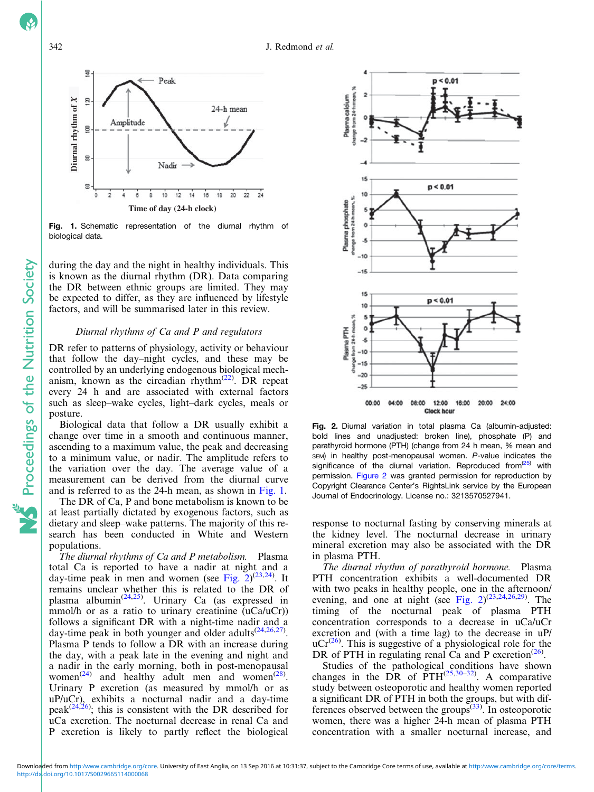

Fig. 1. Schematic representation of the diurnal rhythm of biological data.

is known as the diurnal rhythm (DR). Data comparing the DR between ethnic groups are limited. They may be expected to differ, as they are influenced by lifestyle factors, and will be summarised later in this review.

# Diurnal rhythms of Ca and P and regulators

DR refer to patterns of physiology, activity or behaviour that follow the day–night cycles, and these may be controlled by an underlying endogenous biological mechanism, known as the circadian rhythm<sup> $(22)$  $(22)$ </sup>. DR repeat every 24 h and are associated with external factors such as sleep–wake cycles, light–dark cycles, meals or posture.

during the day and the night in healthy individuals. This<br>is known as the diurnal rhythm (DR). Data comparing<br>the DR between ethnic groups are limited. They may<br>be expected to differ, as they are influenced by lifetyle<br>fa Biological data that follow a DR usually exhibit a change over time in a smooth and continuous manner, ascending to a maximum value, the peak and decreasing to a minimum value, or nadir. The amplitude refers to the variation over the day. The average value of a measurement can be derived from the diurnal curve and is referred to as the 24-h mean, as shown in Fig. 1.

The DR of Ca, P and bone metabolism is known to be at least partially dictated by exogenous factors, such as dietary and sleep–wake patterns. The majority of this research has been conducted in White and Western populations.

The diurnal rhythms of Ca and P metabolism. Plasma total Ca is reported to have a nadir at night and a day-time peak in men and women (see Fig.  $2)^{(23,24)}$  $2)^{(23,24)}$  $2)^{(23,24)}$ . It remains unclear whether this is related to the DR of plasma albumin<sup>([24,25\)](#page-9-0)</sup>. Urinary Ca (as expressed in mmol/h or as a ratio to urinary creatinine (uCa/uCr)) follows a significant DR with a night-time nadir and a day-time peak in both younger and older adults<sup>[\(24,26,27\)](#page-9-0)</sup>. Plasma P tends to follow a DR with an increase during the day, with a peak late in the evening and night and a nadir in the early morning, both in post-menopausal women<sup>[\(24\)](#page-9-0)</sup> and healthy adult men and women<sup>[\(28\)](#page-9-0)</sup>. Urinary P excretion (as measured by mmol/h or as uP/uCr), exhibits a nocturnal nadir and a day-time peak $(24, 26)$ ; this is consistent with the DR described for uCa excretion. The nocturnal decrease in renal Ca and P excretion is likely to partly reflect the biological



Fig. 2. Diurnal variation in total plasma Ca (albumin-adjusted: bold lines and unadjusted: broken line), phosphate (P) and parathyroid hormone (PTH) (change from 24 h mean, % mean and SEM) in healthy post-menopausal women. P-value indicates the significance of the diurnal variation. Reproduced from<sup>([25](#page-9-0))</sup> with permission. Figure 2 was granted permission for reproduction by Copyright Clearance Center's RightsLink service by the European Journal of Endocrinology. License no.: 3213570527941.

response to nocturnal fasting by conserving minerals at the kidney level. The nocturnal decrease in urinary mineral excretion may also be associated with the DR in plasma PTH.

The diurnal rhythm of parathyroid hormone. Plasma PTH concentration exhibits a well-documented DR with two peaks in healthy people, one in the afternoon/ evening, and one at night (see Fig.  $2)^{(23,24,26,29)}$  $2)^{(23,24,26,29)}$  $2)^{(23,24,26,29)}$  $2)^{(23,24,26,29)}$  $2)^{(23,24,26,29)}$ . The timing of the nocturnal peak of plasma PTH concentration corresponds to a decrease in uCa/uCr excretion and (with a time lag) to the decrease in uP/  $ucr^{(26)}$  $ucr^{(26)}$  $ucr^{(26)}$ . This is suggestive of a physiological role for the DR of PTH in regulating renal Ca and P excretion<sup>([26](#page-9-0))</sup>.

Studies of the pathological conditions have shown changes in the DR of  $\widetilde{PTH}^{(25,30-32)}$  $\widetilde{PTH}^{(25,30-32)}$  $\widetilde{PTH}^{(25,30-32)}$  $\widetilde{PTH}^{(25,30-32)}$  $\widetilde{PTH}^{(25,30-32)}$ . A comparative study between osteoporotic and healthy women reported a significant DR of PTH in both the groups, but with differences observed between the groups $(33)$ . In osteoporotic women, there was a higher 24-h mean of plasma PTH concentration with a smaller nocturnal increase, and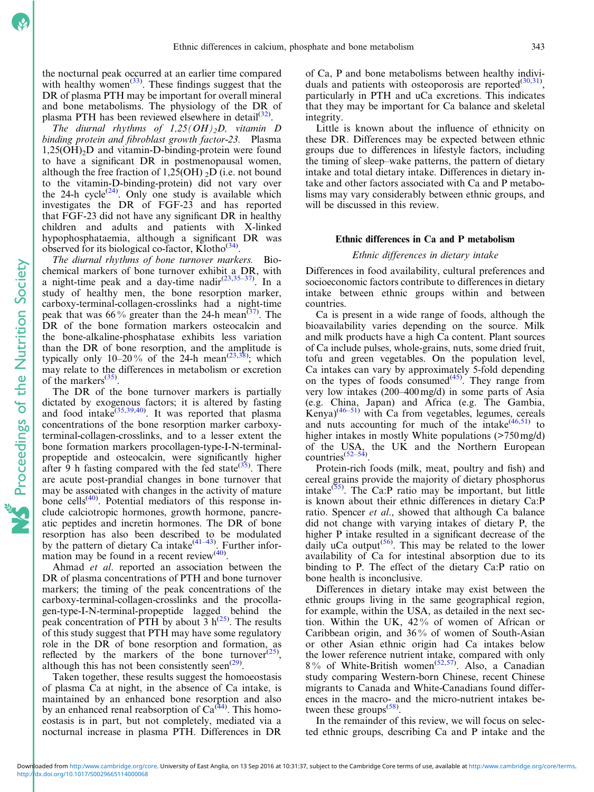the nocturnal peak occurred at an earlier time compared with healthy women<sup> $(33)$  $(33)$  $(33)$ </sup>. These findings suggest that the DR of plasma PTH may be important for overall mineral and bone metabolisms. The physiology of the DR of plasma PTH has been reviewed elsewhere in detail<sup>[\(32\)](#page-9-0)</sup>.

The diurnal rhythms of  $1,25(OH)_2D$ , vitamin D binding protein and fibroblast growth factor-23. Plasma  $1,25(OH)_{2}D$  and vitamin-D-binding-protein were found to have a significant DR in postmenopausal women, although the free fraction of 1,25(OH)  $_2D$  (i.e. not bound to the vitamin-D-binding-protein) did not vary over the 24-h cycle<sup>[\(24\)](#page-9-0)</sup>. Only one study is available which investigates the DR of FGF-23 and has reported that FGF-23 did not have any significant DR in healthy children and adults and patients with X-linked hypophosphataemia, although a significant DR was observed for its biological co-factor,  $\text{Klotho}^{(34)}$  $\text{Klotho}^{(34)}$  $\text{Klotho}^{(34)}$ .

The diurnal rhythms of bone turnover markers. Biochemical markers of bone turnover exhibit a DR, with a night-time peak and a day-time nadir<sup>[\(23,35](#page-9-0)–[37\)](#page-9-0)</sup>. In a study of healthy men, the bone resorption marker, carboxy-terminal-collagen-crosslinks had a night-time peak that was 66% greater than the 24-h mean<sup> $(37)$  $(37)$  $(37)$ </sup>. The DR of the bone formation markers osteocalcin and the bone-alkaline-phosphatase exhibits less variation than the DR of bone resorption, and the amplitude is typically only 10–20% of the 24-h mean<sup>([23,38\)](#page-9-0)</sup>; which may relate to the differences in metabolism or excretion of the markers<sup>[\(35\)](#page-9-0)</sup>.

The DR of the bone turnover markers is partially dictated by exogenous factors; it is altered by fasting and food intake $^{(35,39,40)}$  $^{(35,39,40)}$  $^{(35,39,40)}$ . It was reported that plasma concentrations of the bone resorption marker carboxyterminal-collagen-crosslinks, and to a lesser extent the bone formation markers procollagen-type-I-N-terminalpropeptide and osteocalcin, were significantly higher after 9 h fasting compared with the fed state $(35)$ . There are acute post-prandial changes in bone turnover that may be associated with changes in the activity of mature bone cells<sup>[\(40\)](#page-9-0)</sup>. Potential mediators of this response include calciotropic hormones, growth hormone, pancreatic peptides and incretin hormones. The DR of bone resorption has also been described to be modulated by the pattern of dietary Ca intake $^{(41-43)}$  $^{(41-43)}$  $^{(41-43)}$  $^{(41-43)}$  $^{(41-43)}$ . Further information may be found in a recent review $(40)$  $(40)$  $(40)$ .

Ahmad et al. reported an association between the DR of plasma concentrations of PTH and bone turnover markers; the timing of the peak concentrations of the carboxy-terminal-collagen-crosslinks and the procollagen-type-I-N-terminal-propeptide lagged behind the peak concentration of PTH by about  $3 h^{(25)}$  $3 h^{(25)}$  $3 h^{(25)}$ . The results of this study suggest that PTH may have some regulatory role in the DR of bone resorption and formation, as reflected by the markers of the bone turnover $(x<sup>2</sup>)$ , although this has not been consistently seen $^{(29)}$  $^{(29)}$  $^{(29)}$ .

Taken together, these results suggest the homoeostasis of plasma Ca at night, in the absence of Ca intake, is maintained by an enhanced bone resorption and also by an enhanced renal reabsorption of  $Ca<sup>(44)</sup>$  $Ca<sup>(44)</sup>$  $Ca<sup>(44)</sup>$ . This homoeostasis is in part, but not completely, mediated via a nocturnal increase in plasma PTH. Differences in DR

of Ca, P and bone metabolisms between healthy individuals and patients with osteoporosis are reported $(30,31)$  $(30,31)$ , particularly in PTH and uCa excretions. This indicates that they may be important for Ca balance and skeletal integrity.

Little is known about the influence of ethnicity on these DR. Differences may be expected between ethnic groups due to differences in lifestyle factors, including the timing of sleep–wake patterns, the pattern of dietary intake and total dietary intake. Differences in dietary intake and other factors associated with Ca and P metabolisms may vary considerably between ethnic groups, and will be discussed in this review.

#### Ethnic differences in Ca and P metabolism

#### Ethnic differences in dietary intake

Differences in food availability, cultural preferences and socioeconomic factors contribute to differences in dietary intake between ethnic groups within and between countries.

Ca is present in a wide range of foods, although the bioavailability varies depending on the source. Milk and milk products have a high Ca content. Plant sources of Ca include pulses, whole-grains, nuts, some dried fruit, tofu and green vegetables. On the population level, Ca intakes can vary by approximately 5-fold depending on the types of foods consumed $(45)$ . They range from very low intakes (200–400mg/d) in some parts of Asia (e.g. China, Japan) and Africa (e.g. The Gambia,  $K$ enya)<sup>([46](#page-9-0)–[51\)](#page-9-0)</sup> with Ca from vegetables, legumes, cereals and nuts accounting for much of the intake $(46,51)$  $(46,51)$  to higher intakes in mostly White populations (>750 mg/d) of the USA, the UK and the Northern European countries<sup> $(52-54)$  $(52-54)$  $(52-54)$ </sup>.

Protein-rich foods (milk, meat, poultry and fish) and cereal grains provide the majority of dietary phosphorus intake $^{(55)}$  $^{(55)}$  $^{(55)}$ . The Ca:P ratio may be important, but little is known about their ethnic differences in dietary Ca:P ratio. Spencer et al., showed that although Ca balance did not change with varying intakes of dietary P, the higher P intake resulted in a significant decrease of the daily uCa output<sup>([56](#page-10-0))</sup>. This may be related to the lower availability of Ca for intestinal absorption due to its binding to P. The effect of the dietary Ca:P ratio on bone health is inconclusive.

Differences in dietary intake may exist between the ethnic groups living in the same geographical region, for example, within the USA, as detailed in the next section. Within the UK, 42 % of women of African or Caribbean origin, and 36 % of women of South-Asian or other Asian ethnic origin had Ca intakes below the lower reference nutrient intake, compared with only  $8\%$  of White-British women<sup>([52](#page-9-0)[,57\)](#page-10-0)</sup>. Also, a Canadian study comparing Western-born Chinese, recent Chinese migrants to Canada and White-Canadians found differences in the macro- and the micro-nutrient intakes between these groups $(58)$  $(58)$  $(58)$ .

In the remainder of this review, we will focus on selected ethnic groups, describing Ca and P intake and the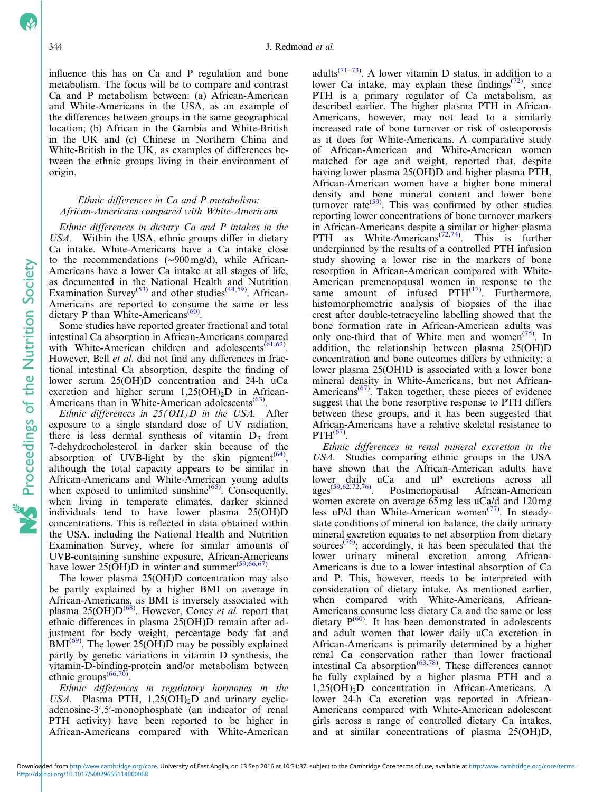influence this has on Ca and P regulation and bone metabolism. The focus will be to compare and contrast Ca and P metabolism between: (a) African-American and White-Americans in the USA, as an example of the differences between groups in the same geographical location; (b) African in the Gambia and White-British in the UK and (c) Chinese in Northern China and White-British in the UK, as examples of differences between the ethnic groups living in their environment of origin.

# Ethnic differences in Ca and P metabolism: African-Americans compared with White-Americans

Ethnic differences in dietary Ca and P intakes in the USA. Within the USA, ethnic groups differ in dietary Ca intake. White-Americans have a Ca intake close to the recommendations (∼900mg/d), while African-Americans have a lower Ca intake at all stages of life, as documented in the National Health and Nutrition Examination Survey<sup>[\(53\)](#page-9-0)</sup> and other studies<sup>([44](#page-9-0)[,59\)](#page-10-0)</sup>. African-Americans are reported to consume the same or less dietary P than White-Americans<sup>[\(60\)](#page-10-0)</sup>.

Some studies have reported greater fractional and total intestinal Ca absorption in African-Americans compared with White-American children and adolescents  $(61, 62)$ . However, Bell et al. did not find any differences in fractional intestinal Ca absorption, despite the finding of lower serum 25(OH)D concentration and 24-h uCa excretion and higher serum  $1,25(OH)_{2}D$  in African-Americans than in White-American adolescents<sup>([63](#page-10-0))</sup>.

Ethnic differences in  $25(OH)D$  in the USA. After exposure to a single standard dose of UV radiation, there is less dermal synthesis of vitamin  $D_3$  from 7-dehydrocholesterol in darker skin because of the absorption of UVB-light by the skin pigment<sup> $(64)$ </sup>, although the total capacity appears to be similar in African-Americans and White-American young adults when exposed to unlimited sunshine<sup> $(65)$ </sup>. Consequently, when living in temperate climates, darker skinned individuals tend to have lower plasma 25(OH)D concentrations. This is reflected in data obtained within the USA, including the National Health and Nutrition Examination Survey, where for similar amounts of UVB-containing sunshine exposure, African-Americans have lower 25( $\text{OH}$ )D in winter and summer<sup>[\(59,66,67\)](#page-10-0)</sup>.

The lower plasma 25(OH)D concentration may also be partly explained by a higher BMI on average in African-Americans, as BMI is inversely associated with plasma 25(OH)D<sup>([68](#page-10-0))</sup>. However, Coney et al. report that ethnic differences in plasma 25(OH)D remain after adjustment for body weight, percentage body fat and  $\text{BMI}^{(69)}$  $\text{BMI}^{(69)}$  $\text{BMI}^{(69)}$ . The lower 25(OH)D may be possibly explained partly by genetic variations in vitamin D synthesis, the vitamin-D-binding-protein and/or metabolism between

Ethnic differences in regulatory hormones in the USA. Plasma PTH,  $1,25(OH)_{2}D$  and urinary cyclicadenosine-3′ ,5′ -monophosphate (an indicator of renal PTH activity) have been reported to be higher in African-Americans compared with White-American

adults<sup>([71](#page-10-0)-[73\)](#page-10-0)</sup>. A lower vitamin D status, in addition to a lower Ca intake, may explain these findings<sup> $(72)$ </sup>, since PTH is a primary regulator of Ca metabolism, as described earlier. The higher plasma PTH in African-Americans, however, may not lead to a similarly increased rate of bone turnover or risk of osteoporosis as it does for White-Americans. A comparative study of African-American and White-American women matched for age and weight, reported that, despite having lower plasma 25(OH)D and higher plasma PTH, African-American women have a higher bone mineral density and bone mineral content and lower bone turnover rate<sup>([59](#page-10-0))</sup>. This was confirmed by other studies reporting lower concentrations of bone turnover markers in African-Americans despite a similar or higher plasma PTH as White-Americans<sup> $(72,74)$  $(72,74)$ </sup>. This is further underpinned by the results of a controlled PTH infusion study showing a lower rise in the markers of bone resorption in African-American compared with White-American premenopausal women in response to the same amount of infused  $PTH^{(17)}$  $PTH^{(17)}$  $PTH^{(17)}$ . Furthermore, histomorphometric analysis of biopsies of the iliac crest after double-tetracycline labelling showed that the bone formation rate in African-American adults was only one-third that of White men and women $(75)$  $(75)$  $(75)$ . In addition, the relationship between plasma 25(OH)D concentration and bone outcomes differs by ethnicity; a lower plasma 25(OH)D is associated with a lower bone mineral density in White-Americans, but not African-Americans<sup>([67](#page-10-0))</sup>. Taken together, these pieces of evidence suggest that the bone resorptive response to PTH differs between these groups, and it has been suggested that African-Americans have a relative skeletal resistance to  $\text{PTH}^{(67)}.$  $\text{PTH}^{(67)}.$  $\text{PTH}^{(67)}.$ 

Ethnic differences in renal mineral excretion in the USA. Studies comparing ethnic groups in the USA have shown that the African-American adults have lower daily uCa and uP excretions across all ages<sup>([59,62,72,76\)](#page-10-0)</sup>. Postmenopausal African-American women excrete on average 65mg less uCa/d and 120mg less uP/d than White-American women<sup>([77](#page-10-0))</sup>. In steadystate conditions of mineral ion balance, the daily urinary mineral excretion equates to net absorption from dietary sources<sup> $(76)$ </sup>; accordingly, it has been speculated that the lower urinary mineral excretion among African-Americans is due to a lower intestinal absorption of Ca and P. This, however, needs to be interpreted with consideration of dietary intake. As mentioned earlier, when compared with White-Americans, African-Americans consume less dietary Ca and the same or less dietary  $P^{(60)}$  $P^{(60)}$  $P^{(60)}$ . It has been demonstrated in adolescents and adult women that lower daily uCa excretion in African-Americans is primarily determined by a higher renal Ca conservation rather than lower fractional intestinal Ca absorption<sup> $(63,78)$  $(63,78)$  $(63,78)$ </sup>. These differences cannot be fully explained by a higher plasma PTH and a 1,25(OH)2D concentration in African-Americans. A lower 24-h Ca excretion was reported in African-Americans compared with White-American adolescent girls across a range of controlled dietary Ca intakes, and at similar concentrations of plasma 25(OH)D,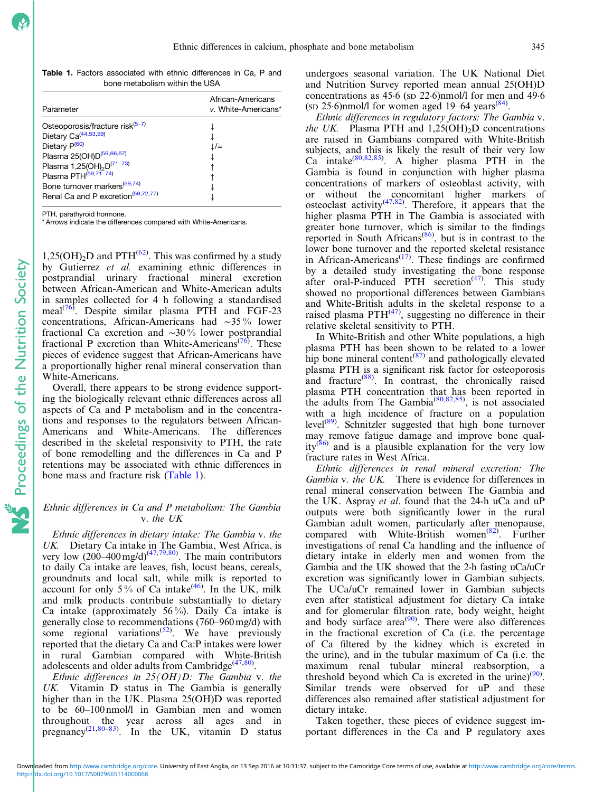|                                |  |  |  |  |  | <b>Table 1.</b> Factors associated with ethnic differences in Ca. P and |  |  |  |  |
|--------------------------------|--|--|--|--|--|-------------------------------------------------------------------------|--|--|--|--|
| bone metabolism within the USA |  |  |  |  |  |                                                                         |  |  |  |  |

| Parameter                                         | African-Americans<br>v. White-Americans* |
|---------------------------------------------------|------------------------------------------|
|                                                   |                                          |
| Osteoporosis/fracture risk <sup>(5-7)</sup>       |                                          |
| Dietary Ca <sup>(44,53,59)</sup>                  |                                          |
| Dietary P(60)                                     | .⊥/=                                     |
| Plasma 25(OH)D <sup>(59,66,67)</sup>              |                                          |
| Plasma 1,25(OH) <sub>2</sub> D <sup>(71-73)</sup> |                                          |
| Plasma PTH $^{(59,71-74)}$                        |                                          |
| Bone turnover markers <sup>(59,74)</sup>          |                                          |
| Renal Ca and P excretion <sup>(59,72,77)</sup>    |                                          |

PTH, parathyroid hormone.

\* Arrows indicate the differences compared with White-Americans.

 $1,25(OH)<sub>2</sub>D$  and PTH<sup>([62](#page-10-0))</sup>. This was confirmed by a study by Gutierrez et al. examining ethnic differences in postprandial urinary fractional mineral excretion between African-American and White-American adults in samples collected for 4 h following a standardised meal<sup>[\(76\)](#page-10-0)</sup>. Despite similar plasma PTH and FGF-23 concentrations, African-Americans had ∼35 % lower fractional Ca excretion and ∼30 % lower postprandial fractional P excretion than White-Americans<sup>([76](#page-10-0))</sup>. These pieces of evidence suggest that African-Americans have a proportionally higher renal mineral conservation than White-Americans.

Overall, there appears to be strong evidence supporting the biologically relevant ethnic differences across all aspects of Ca and P metabolism and in the concentrations and responses to the regulators between African-Americans and White-Americans. The differences described in the skeletal responsivity to PTH, the rate of bone remodelling and the differences in Ca and P retentions may be associated with ethnic differences in bone mass and fracture risk (Table 1).

# Ethnic differences in Ca and P metabolism: The Gambia v. the UK

Ethnic differences in dietary intake: The Gambia v. the UK. Dietary Ca intake in The Gambia, West Africa, is very low  $(200-400 \,\text{mg/d})^{(47,79,80)}$  $(200-400 \,\text{mg/d})^{(47,79,80)}$  $(200-400 \,\text{mg/d})^{(47,79,80)}$  $(200-400 \,\text{mg/d})^{(47,79,80)}$ . The main contributors to daily Ca intake are leaves, fish, locust beans, cereals, groundnuts and local salt, while milk is reported to account for only 5% of Ca intake<sup>([46](#page-9-0))</sup>. In the UK, milk and milk products contribute substantially to dietary Ca intake (approximately 56 %). Daily Ca intake is generally close to recommendations (760–960mg/d) with some regional variations<sup>([52](#page-9-0))</sup>. We have previously reported that the dietary Ca and Ca:P intakes were lower in rural Gambian compared with White-British adolescents and older adults from Cambridge<sup>[\(47,](#page-9-0)[80](#page-10-0))</sup>.

Ethnic differences in  $25(OH)D$ : The Gambia v. the UK. Vitamin D status in The Gambia is generally higher than in the UK. Plasma 25(OH)D was reported to be 60–100 nmol/l in Gambian men and women throughout the year across all ages and in pregnancy<sup>[\(21,](#page-9-0)[80](#page-10-0)–[83\)](#page-10-0)</sup>. In the UK, vitamin D status

undergoes seasonal variation. The UK National Diet and Nutrition Survey reported mean annual 25(OH)D concentrations as 45·6 (SD 22·6)nmol/l for men and 49·6 (sp 25.6)nmol/l for women aged 19-64 years<sup>[\(84\)](#page-10-0)</sup>.

Ethnic differences in regulatory factors: The Gambia v. the UK. Plasma PTH and  $1,25(OH)<sub>2</sub>D$  concentrations are raised in Gambians compared with White-British subjects, and this is likely the result of their very low Ca intake([80,82,85](#page-10-0)) . A higher plasma PTH in the Gambia is found in conjunction with higher plasma concentrations of markers of osteoblast activity, with or without the concomitant higher markers of osteoclast activity<sup>[\(47,](#page-9-0)[82](#page-10-0))</sup>. Therefore, it appears that the higher plasma PTH in The Gambia is associated with greater bone turnover, which is similar to the findings reported in South Africans<sup>[\(86\)](#page-10-0)</sup>, but is in contrast to the lower bone turnover and the reported skeletal resistance in African-Americans $(17)$ . These findings are confirmed by a detailed study investigating the bone response after oral-P-induced PTH  $\frac{1}{2}$  secretion<sup>([47](#page-9-0))</sup>. This study showed no proportional differences between Gambians and White-British adults in the skeletal response to a raised plasma  $PTH^{(47)}$  $PTH^{(47)}$  $PTH^{(47)}$ , suggesting no difference in their relative skeletal sensitivity to PTH.

In White-British and other White populations, a high plasma PTH has been shown to be related to a lower hip bone mineral content<sup> $(87)$ </sup> and pathologically elevated plasma PTH is a significant risk factor for osteoporosis and fracture<sup>([88](#page-10-0))</sup>. In contrast, the chronically raised plasma PTH concentration that has been reported in the adults from The Gambia<sup>[\(80,82,85\)](#page-10-0)</sup>, is not associated with a high incidence of fracture on a population level<sup>([89](#page-10-0))</sup>. Schnitzler suggested that high bone turnover may remove fatigue damage and improve bone qual-ity<sup>([86](#page-10-0))</sup> and is a plausible explanation for the very low fracture rates in West Africa.

Ethnic differences in renal mineral excretion: The Gambia v. the UK. There is evidence for differences in renal mineral conservation between The Gambia and the UK. Aspray et al. found that the 24-h uCa and uP outputs were both significantly lower in the rural Gambian adult women, particularly after menopause, compared with White-British women<sup>[\(82\)](#page-10-0)</sup>. Further investigations of renal Ca handling and the influence of dietary intake in elderly men and women from the Gambia and the UK showed that the 2-h fasting uCa/uCr excretion was significantly lower in Gambian subjects. The UCa/uCr remained lower in Gambian subjects even after statistical adjustment for dietary Ca intake and for glomerular filtration rate, body weight, height and body surface area<sup>[\(90\)](#page-10-0)</sup>. There were also differences in the fractional excretion of Ca (i.e. the percentage of Ca filtered by the kidney which is excreted in the urine), and in the tubular maximum of Ca (i.e. the maximum renal tubular mineral reabsorption, a threshold beyond which Ca is excreted in the urine)<sup>([90](#page-10-0))</sup>. Similar trends were observed for uP and these differences also remained after statistical adjustment for dietary intake.

Taken together, these pieces of evidence suggest important differences in the Ca and P regulatory axes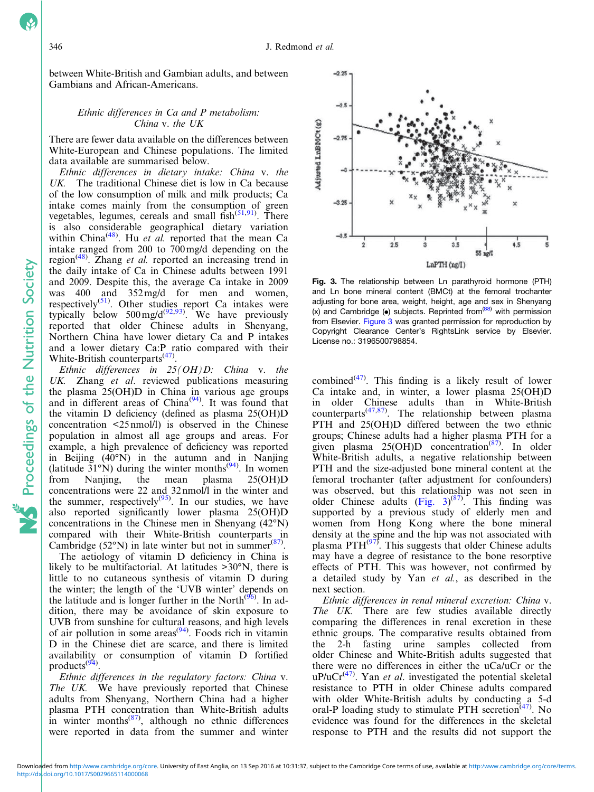between White-British and Gambian adults, and between Gambians and African-Americans.

# Ethnic differences in Ca and P metabolism: China v. the UK

There are fewer data available on the differences between White-European and Chinese populations. The limited data available are summarised below.

Ethnic differences in dietary intake: China v. the UK. The traditional Chinese diet is low in Ca because of the low consumption of milk and milk products; Ca intake comes mainly from the consumption of green vegetables, legumes, cereals and small  $\operatorname{fish}^{(51,91)}$  $\operatorname{fish}^{(51,91)}$  $\operatorname{fish}^{(51,91)}$  $\operatorname{fish}^{(51,91)}$ . There is also considerable geographical dietary variation within China<sup>[\(48\)](#page-9-0)</sup>. Hu et al. reported that the mean Ca intake ranged from 200 to  $700 \text{ mg/d}$  depending on the region<sup>[\(48\)](#page-9-0)</sup>. Zhang et al. reported an increasing trend in the daily intake of Ca in Chinese adults between 1991 and 2009. Despite this, the average Ca intake in 2009 was 400 and 352mg/d for men and women, respectively<sup>[\(51\)](#page-9-0)</sup>. Other studies report Ca intakes were typically below  $500 \,\text{mg/d}^{(92,93)}$  $500 \,\text{mg/d}^{(92,93)}$  $500 \,\text{mg/d}^{(92,93)}$ . We have previously reported that older Chinese adults in Shenyang, Northern China have lower dietary Ca and P intakes and a lower dietary Ca:P ratio compared with their White-British counterparts<sup>[\(47\)](#page-9-0)</sup>.

Ethnic differences in  $25(OH)D$ : China v. the UK. Zhang et al. reviewed publications measuring the plasma 25(OH)D in China in various age groups and in different areas of China<sup>[\(94\)](#page-11-0)</sup>. It was found that the vitamin D deficiency (defined as plasma 25(OH)D concentration <25 nmol/l) is observed in the Chinese population in almost all age groups and areas. For example, a high prevalence of deficiency was reported in Beijing  $(40^{\circ}\text{N})$  in the autumn and in Nanjing (latitude  $31^{\circ}$ N) during the winter months<sup>[\(94\)](#page-11-0)</sup>. In women from Nanjing, the mean plasma 25(OH)D concentrations were 22 and 32 nmol/l in the winter and the summer, respectively<sup>[\(95\)](#page-11-0)</sup>. In our studies, we have also reported significantly lower plasma 25(OH)D concentrations in the Chinese men in Shenyang (42°N) compared with their White-British counterparts in Cambridge (52°N) in late winter but not in summer $^{(87)}$  $^{(87)}$  $^{(87)}$ .

The aetiology of vitamin D deficiency in China is likely to be multifactorial. At latitudes >30°N, there is little to no cutaneous synthesis of vitamin D during the winter; the length of the 'UVB winter' depends on the latitude and is longer further in the North<sup>[\(96\)](#page-11-0)</sup>. In addition, there may be avoidance of skin exposure to UVB from sunshine for cultural reasons, and high levels of air pollution in some areas<sup>[\(94\)](#page-11-0)</sup>. Foods rich in vitamin D in the Chinese diet are scarce, and there is limited availability or consumption of vitamin D fortified products<sup>[\(94\)](#page-11-0)</sup>.

Ethnic differences in the regulatory factors: China v. The UK. We have previously reported that Chinese adults from Shenyang, Northern China had a higher plasma PTH concentration than White-British adults in winter months<sup> $(87)$  $(87)$ </sup>, although no ethnic differences were reported in data from the summer and winter



Fig. 3. The relationship between Ln parathyroid hormone (PTH) and Ln bone mineral content (BMCt) at the femoral trochanter adjusting for bone area, weight, height, age and sex in Shenyang  $(x)$  and Cambridge ( $\bullet$ ) subjects. Reprinted from<sup> $(88)$ </sup> with permission from Elsevier. Figure 3 was granted permission for reproduction by Copyright Clearance Center's RightsLink service by Elsevier. License no.: 3196500798854.

combined $(47)$  $(47)$  $(47)$ . This finding is a likely result of lower Ca intake and, in winter, a lower plasma 25(OH)D in older Chinese adults than in White-British counterparts<sup>([47](#page-9-0)[,87\)](#page-10-0)</sup>. The relationship between plasma PTH and 25(OH)D differed between the two ethnic groups; Chinese adults had a higher plasma PTH for a given plasma  $25(OH)D$  concentration<sup>[\(87\)](#page-10-0)</sup>. In older White-British adults, a negative relationship between PTH and the size-adjusted bone mineral content at the femoral trochanter (after adjustment for confounders) was observed, but this relationship was not seen in older Chinese adults  $(Fig. 3)^{(87)}$  $(Fig. 3)^{(87)}$  $(Fig. 3)^{(87)}$ . This finding was supported by a previous study of elderly men and women from Hong Kong where the bone mineral density at the spine and the hip was not associated with plasma PTH<sup>([97](#page-11-0))</sup>. This suggests that older Chinese adults may have a degree of resistance to the bone resorptive effects of PTH. This was however, not confirmed by a detailed study by Yan et al., as described in the next section.

Ethnic differences in renal mineral excretion: China v. The UK. There are few studies available directly comparing the differences in renal excretion in these ethnic groups. The comparative results obtained from the 2-h fasting urine samples collected from older Chinese and White-British adults suggested that there were no differences in either the uCa/uCr or the  $uP/uCr^{(47)}$  $uP/uCr^{(47)}$  $uP/uCr^{(47)}$ . Yan *et al*. investigated the potential skeletal resistance to PTH in older Chinese adults compared with older White-British adults by conducting a 5-d oral-P loading study to stimulate PTH secretion<sup> $(47)$ </sup>. No evidence was found for the differences in the skeletal response to PTH and the results did not support the

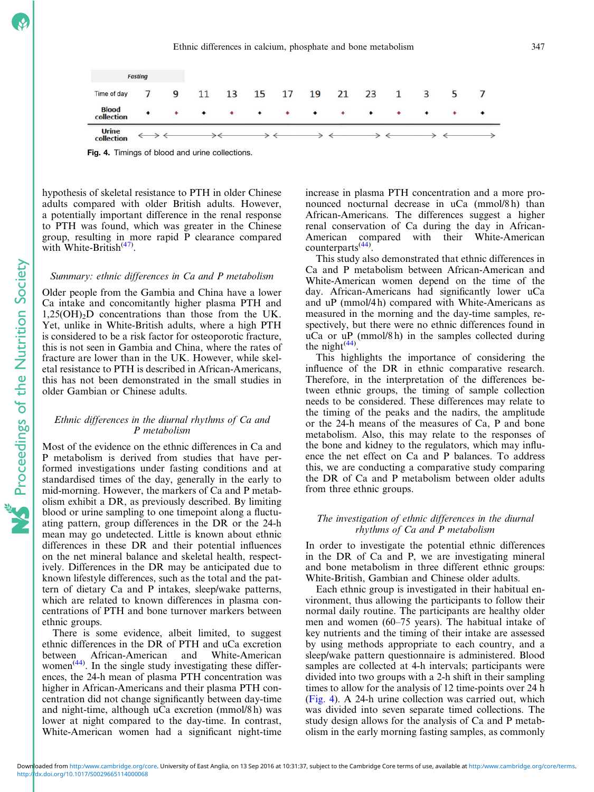Proceedings of the Nutrition Society

**NS** Proceedings of the Nutrition Society



Fig. 4. Timings of blood and urine collections.

hypothesis of skeletal resistance to PTH in older Chinese adults compared with older British adults. However, a potentially important difference in the renal response to PTH was found, which was greater in the Chinese group, resulting in more rapid P clearance compared with White-British $(47)$  $(47)$  $(47)$ .

#### Summary: ethnic differences in Ca and P metabolism

Older people from the Gambia and China have a lower Ca intake and concomitantly higher plasma PTH and  $1,25(OH)_{2}D$  concentrations than those from the UK. Yet, unlike in White-British adults, where a high PTH is considered to be a risk factor for osteoporotic fracture, this is not seen in Gambia and China, where the rates of fracture are lower than in the UK. However, while skeletal resistance to PTH is described in African-Americans, this has not been demonstrated in the small studies in older Gambian or Chinese adults.

# Ethnic differences in the diurnal rhythms of Ca and P metabolism

Most of the evidence on the ethnic differences in Ca and P metabolism is derived from studies that have performed investigations under fasting conditions and at standardised times of the day, generally in the early to mid-morning. However, the markers of Ca and P metabolism exhibit a DR, as previously described. By limiting blood or urine sampling to one timepoint along a fluctuating pattern, group differences in the DR or the 24-h mean may go undetected. Little is known about ethnic differences in these DR and their potential influences on the net mineral balance and skeletal health, respectively. Differences in the DR may be anticipated due to known lifestyle differences, such as the total and the pattern of dietary Ca and P intakes, sleep/wake patterns, which are related to known differences in plasma concentrations of PTH and bone turnover markers between ethnic groups.

There is some evidence, albeit limited, to suggest ethnic differences in the DR of PTH and uCa excretion between African-American and White-American women<sup> $(44)$ </sup>. In the single study investigating these differences, the 24-h mean of plasma PTH concentration was higher in African-Americans and their plasma PTH concentration did not change significantly between day-time and night-time, although uCa excretion (mmol/8 h) was lower at night compared to the day-time. In contrast,

<http://dx.doi.org/10.1017/S0029665114000068>

increase in plasma PTH concentration and a more pronounced nocturnal decrease in uCa (mmol/8 h) than African-Americans. The differences suggest a higher renal conservation of Ca during the day in African-American compared with their White-American counterparts<sup>([44](#page-9-0))</sup>.

This study also demonstrated that ethnic differences in Ca and P metabolism between African-American and White-American women depend on the time of the day. African-Americans had significantly lower uCa and uP (mmol/4 h) compared with White-Americans as measured in the morning and the day-time samples, respectively, but there were no ethnic differences found in uCa or uP (mmol/8 h) in the samples collected during the night $(44)$  $(44)$ .

This highlights the importance of considering the influence of the DR in ethnic comparative research. Therefore, in the interpretation of the differences between ethnic groups, the timing of sample collection needs to be considered. These differences may relate to the timing of the peaks and the nadirs, the amplitude or the 24-h means of the measures of Ca, P and bone metabolism. Also, this may relate to the responses of the bone and kidney to the regulators, which may influence the net effect on Ca and P balances. To address this, we are conducting a comparative study comparing the DR of Ca and P metabolism between older adults from three ethnic groups.

# The investigation of ethnic differences in the diurnal rhythms of Ca and P metabolism

In order to investigate the potential ethnic differences in the DR of Ca and P, we are investigating mineral and bone metabolism in three different ethnic groups: White-British, Gambian and Chinese older adults.

Each ethnic group is investigated in their habitual environment, thus allowing the participants to follow their normal daily routine. The participants are healthy older men and women (60–75 years). The habitual intake of key nutrients and the timing of their intake are assessed by using methods appropriate to each country, and a sleep/wake pattern questionnaire is administered. Blood samples are collected at 4-h intervals; participants were divided into two groups with a 2-h shift in their sampling times to allow for the analysis of 12 time-points over 24 h (Fig. 4). A 24-h urine collection was carried out, which was divided into seven separate timed collections. The study design allows for the analysis of Ca and P metabolism in the early morning fasting samples, as commonly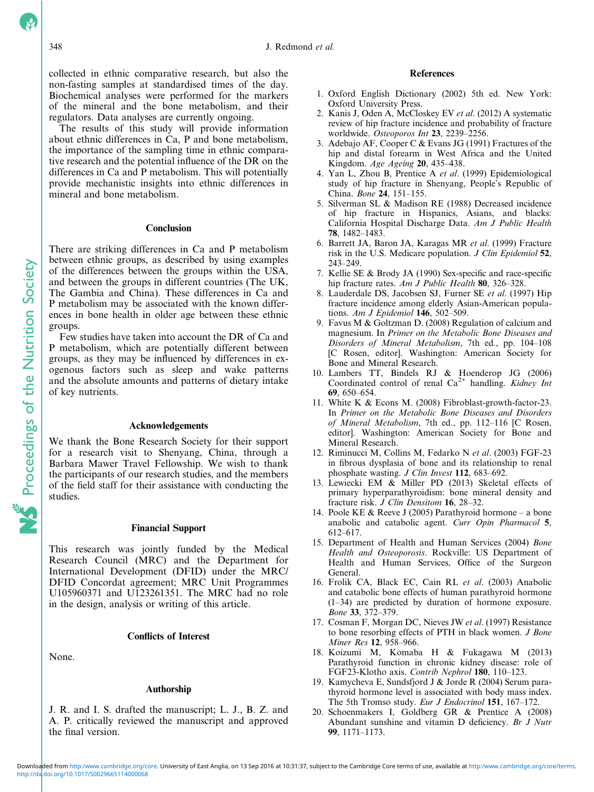<span id="page-8-0"></span>collected in ethnic comparative research, but also the non-fasting samples at standardised times of the day. Biochemical analyses were performed for the markers of the mineral and the bone metabolism, and their regulators. Data analyses are currently ongoing.

The results of this study will provide information about ethnic differences in Ca, P and bone metabolism, the importance of the sampling time in ethnic comparative research and the potential influence of the DR on the differences in Ca and P metabolism. This will potentially provide mechanistic insights into ethnic differences in mineral and bone metabolism.

#### Conclusion

There are striking differences in Ca and P metabolism between ethnic groups, as described by using examples of the differences between the groups within the USA, and between the groups in different countries (The UK, The Gambia and China). These differences in Ca and P metabolism may be associated with the known differences in bone health in older age between these ethnic groups.

Few studies have taken into account the DR of Ca and P metabolism, which are potentially different between groups, as they may be influenced by differences in exogenous factors such as sleep and wake patterns and the absolute amounts and patterns of dietary intake of key nutrients.

# Acknowledgements

We thank the Bone Research Society for their support for a research visit to Shenyang, China, through a Barbara Mawer Travel Fellowship. We wish to thank the participants of our research studies, and the members of the field staff for their assistance with conducting the

### Financial Support

This research was jointly funded by the Medical Research Council (MRC) and the Department for International Development (DFID) under the MRC/ DFID Concordat agreement; MRC Unit Programmes U105960371 and U123261351. The MRC had no role in the design, analysis or writing of this article.

#### Conflicts of Interest

None.

#### Authorship

J. R. and I. S. drafted the manuscript; L. J., B. Z. and A. P. critically reviewed the manuscript and approved the final version.

### **References**

- 1. Oxford English Dictionary (2002) 5th ed. New York: Oxford University Press.
- 2. Kanis J, Oden A, McCloskey EV et al. (2012) A systematic review of hip fracture incidence and probability of fracture worldwide. Osteoporos Int 23, 2239–2256.
- 3. Adebajo AF, Cooper C & Evans JG (1991) Fractures of the hip and distal forearm in West Africa and the United Kingdom. Age Ageing 20, 435–438.
- 4. Yan L, Zhou B, Prentice A et al. (1999) Epidemiological study of hip fracture in Shenyang, People's Republic of China. Bone 24, 151–155.
- 5. Silverman SL & Madison RE (1988) Decreased incidence of hip fracture in Hispanics, Asians, and blacks: California Hospital Discharge Data. Am J Public Health 78, 1482–1483.
- 6. Barrett JA, Baron JA, Karagas MR et al. (1999) Fracture risk in the U.S. Medicare population. J Clin Epidemiol 52, 243–249.
- 7. Kellie SE & Brody JA (1990) Sex-specific and race-specific hip fracture rates. Am J Public Health 80, 326–328.
- 8. Lauderdale DS, Jacobsen SJ, Furner SE et al. (1997) Hip fracture incidence among elderly Asian-American populations. Am J Epidemiol 146, 502–509.
- 9. Favus M & Goltzman D. (2008) Regulation of calcium and magnesium. In Primer on the Metabolic Bone Diseases and Disorders of Mineral Metabolism, 7th ed., pp. 104–108 [C Rosen, editor]. Washington: American Society for Bone and Mineral Research.
- 10. Lambers TT, Bindels RJ & Hoenderop JG (2006) Coordinated control of renal  $Ca^{2+}$  handling. Kidney Int 69, 650–654.
- 11. White K & Econs M. (2008) Fibroblast-growth-factor-23. In Primer on the Metabolic Bone Diseases and Disorders of Mineral Metabolism, 7th ed., pp. 112–116 [C Rosen, editor]. Washington: American Society for Bone and Mineral Research.
- 12. Riminucci M, Collins M, Fedarko N et al. (2003) FGF-23 in fibrous dysplasia of bone and its relationship to renal phosphate wasting. J Clin Invest 112, 683–692.
- 13. Lewiecki EM & Miller PD (2013) Skeletal effects of primary hyperparathyroidism: bone mineral density and fracture risk. J Clin Densitom 16, 28–32.
- 14. Poole KE & Reeve J (2005) Parathyroid hormone a bone anabolic and catabolic agent. Curr Opin Pharmacol 5, 612–617.
- 15. Department of Health and Human Services (2004) Bone Health and Osteoporosis. Rockville: US Department of Health and Human Services, Office of the Surgeon General.
- 16. Frolik CA, Black EC, Cain RL et al. (2003) Anabolic and catabolic bone effects of human parathyroid hormone (1–34) are predicted by duration of hormone exposure. Bone 33, 372–379.
- 17. Cosman F, Morgan DC, Nieves JW et al. (1997) Resistance to bone resorbing effects of PTH in black women. J Bone Miner Res 12, 958–966.
- 18. Koizumi M, Komaba H & Fukagawa M (2013) Parathyroid function in chronic kidney disease: role of FGF23-Klotho axis. Contrib Nephrol 180, 110–123.
- 19. Kamycheva E, Sundsfjord J & Jorde R (2004) Serum parathyroid hormone level is associated with body mass index. The 5th Tromso study. Eur J Endocrinol 151, 167-172.
- 20. Schoenmakers I, Goldberg GR & Prentice A (2008) Abundant sunshine and vitamin D deficiency. Br J Nutr 99, 1171–1173.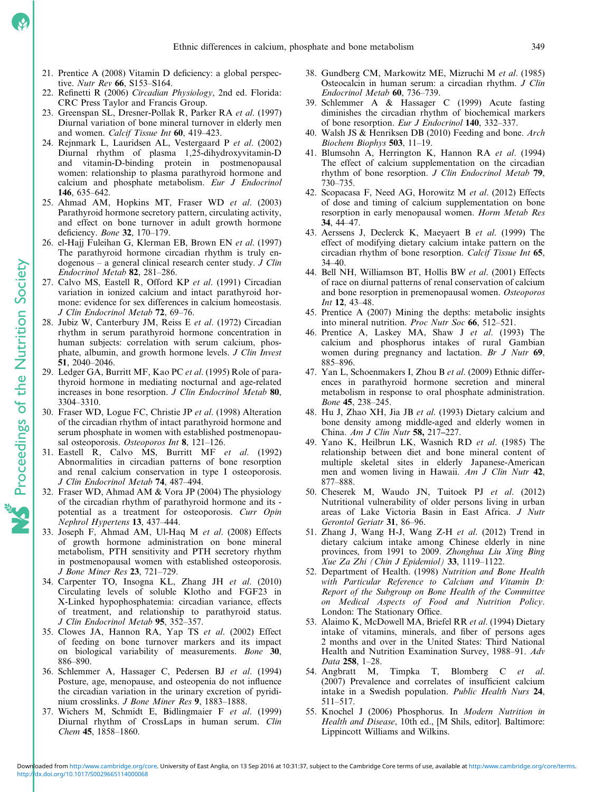- <span id="page-9-0"></span>21. Prentice A (2008) Vitamin D deficiency: a global perspective. Nutr Rev 66, S153-S164.
- 22. Refinetti R (2006) Circadian Physiology, 2nd ed. Florida: CRC Press Taylor and Francis Group.
- 23. Greenspan SL, Dresner-Pollak R, Parker RA et al. (1997) Diurnal variation of bone mineral turnover in elderly men and women. Calcif Tissue Int 60, 419–423.
- 24. Rejnmark L, Lauridsen AL, Vestergaard P et al. (2002) Diurnal rhythm of plasma 1,25-dihydroxyvitamin-D and vitamin-D-binding protein in postmenopausal women: relationship to plasma parathyroid hormone and calcium and phosphate metabolism. Eur J Endocrinol 146, 635–642.
- 25. Ahmad AM, Hopkins MT, Fraser WD et al. (2003) Parathyroid hormone secretory pattern, circulating activity, and effect on bone turnover in adult growth hormone deficiency. Bone 32, 170–179.
- 26. el-Hajj Fuleihan G, Klerman EB, Brown EN et al. (1997) The parathyroid hormone circadian rhythm is truly endogenous – a general clinical research center study.  $J$  Clin Endocrinol Metab 82, 281–286.
- 27. Calvo MS, Eastell R, Offord KP et al. (1991) Circadian variation in ionized calcium and intact parathyroid hormone: evidence for sex differences in calcium homeostasis. J Clin Endocrinol Metab 72, 69–76.
- 28. Jubiz W, Canterbury JM, Reiss E et al. (1972) Circadian rhythm in serum parathyroid hormone concentration in human subjects: correlation with serum calcium, phosphate, albumin, and growth hormone levels. J Clin Invest 51, 2040–2046.
- 29. Ledger GA, Burritt MF, Kao PC et al. (1995) Role of parathyroid hormone in mediating nocturnal and age-related increases in bone resorption. J Clin Endocrinol Metab 80, 3304–3310.
- 30. Fraser WD, Logue FC, Christie JP et al. (1998) Alteration of the circadian rhythm of intact parathyroid hormone and serum phosphate in women with established postmenopausal osteoporosis. Osteoporos Int 8, 121-126.
- 31. Eastell R, Calvo MS, Burritt MF et al. (1992) Abnormalities in circadian patterns of bone resorption and renal calcium conservation in type I osteoporosis. J Clin Endocrinol Metab 74, 487–494.
- 32. Fraser WD, Ahmad AM & Vora JP (2004) The physiology of the circadian rhythm of parathyroid hormone and its potential as a treatment for osteoporosis. Curr Opin Nephrol Hypertens 13, 437–444.
- 33. Joseph F, Ahmad AM, Ul-Haq M et al. (2008) Effects of growth hormone administration on bone mineral metabolism, PTH sensitivity and PTH secretory rhythm in postmenopausal women with established osteoporosis. J Bone Miner Res 23, 721–729.
- 34. Carpenter TO, Insogna KL, Zhang JH et al. (2010) Circulating levels of soluble Klotho and FGF23 in X-Linked hypophosphatemia: circadian variance, effects of treatment, and relationship to parathyroid status. J Clin Endocrinol Metab 95, 352–357.
- 35. Clowes JA, Hannon RA, Yap TS et al. (2002) Effect of feeding on bone turnover markers and its impact on biological variability of measurements. Bone 30, 886–890.
- 36. Schlemmer A, Hassager C, Pedersen BJ et al. (1994) Posture, age, menopause, and osteopenia do not influence the circadian variation in the urinary excretion of pyridinium crosslinks. J Bone Miner Res 9, 1883–1888.
- 37. Wichers M, Schmidt E, Bidlingmaier F et al. (1999) Diurnal rhythm of CrossLaps in human serum. Clin Chem 45, 1858–1860.
- 38. Gundberg CM, Markowitz ME, Mizruchi M et al. (1985) Osteocalcin in human serum: a circadian rhythm. J Clin Endocrinol Metab 60, 736–739.
- 39. Schlemmer A & Hassager C (1999) Acute fasting diminishes the circadian rhythm of biochemical markers of bone resorption. Eur J Endocrinol 140, 332–337.
- 40. Walsh JS & Henriksen DB (2010) Feeding and bone. Arch Biochem Biophys 503, 11–19.
- 41. Blumsohn A, Herrington K, Hannon RA et al. (1994) The effect of calcium supplementation on the circadian rhythm of bone resorption. J Clin Endocrinol Metab 79, 730–735.
- 42. Scopacasa F, Need AG, Horowitz M et al. (2012) Effects of dose and timing of calcium supplementation on bone resorption in early menopausal women. Horm Metab Res 34, 44–47.
- 43. Aerssens J, Declerck K, Maeyaert B et al. (1999) The effect of modifying dietary calcium intake pattern on the circadian rhythm of bone resorption. Calcif Tissue Int 65, 34–40.
- 44. Bell NH, Williamson BT, Hollis BW et al. (2001) Effects of race on diurnal patterns of renal conservation of calcium and bone resorption in premenopausal women. Osteoporos Int 12, 43–48.
- 45. Prentice A (2007) Mining the depths: metabolic insights into mineral nutrition. Proc Nutr Soc 66, 512–521.
- 46. Prentice A, Laskey MA, Shaw J et al. (1993) The calcium and phosphorus intakes of rural Gambian women during pregnancy and lactation. Br J Nutr 69, 885–896.
- 47. Yan L, Schoenmakers I, Zhou B et al. (2009) Ethnic differences in parathyroid hormone secretion and mineral metabolism in response to oral phosphate administration. Bone 45, 238–245.
- 48. Hu J, Zhao XH, Jia JB et al. (1993) Dietary calcium and bone density among middle-aged and elderly women in China. Am J Clin Nutr 58, 217–227.
- 49. Yano K, Heilbrun LK, Wasnich RD et al. (1985) The relationship between diet and bone mineral content of multiple skeletal sites in elderly Japanese-American men and women living in Hawaii. Am J Clin Nutr 42, 877–888.
- 50. Cheserek M, Waudo JN, Tuitoek PJ et al. (2012) Nutritional vulnerability of older persons living in urban areas of Lake Victoria Basin in East Africa. J Nutr Gerontol Geriatr 31, 86–96.
- 51. Zhang J, Wang H-J, Wang Z-H et al. (2012) Trend in dietary calcium intake among Chinese elderly in nine provinces, from 1991 to 2009. Zhonghua Liu Xing Bing Xue Za Zhi (Chin J Epidemiol) 33, 1119–1122.
- 52. Department of Health. (1998) Nutrition and Bone Health with Particular Reference to Calcium and Vitamin D: Report of the Subgroup on Bone Health of the Committee on Medical Aspects of Food and Nutrition Policy. London: The Stationary Office.
- 53. Alaimo K, McDowell MA, Briefel RR et al. (1994) Dietary intake of vitamins, minerals, and fiber of persons ages 2 months and over in the United States: Third National Health and Nutrition Examination Survey, 1988–91. Adv Data 258, 1–28.
- 54. Angbratt M, Timpka T, Blomberg C et al. (2007) Prevalence and correlates of insufficient calcium intake in a Swedish population. Public Health Nurs 24, 511–517.
- 55. Knochel J (2006) Phosphorus. In Modern Nutrition in Health and Disease, 10th ed., [M Shils, editor]. Baltimore: Lippincott Williams and Wilkins.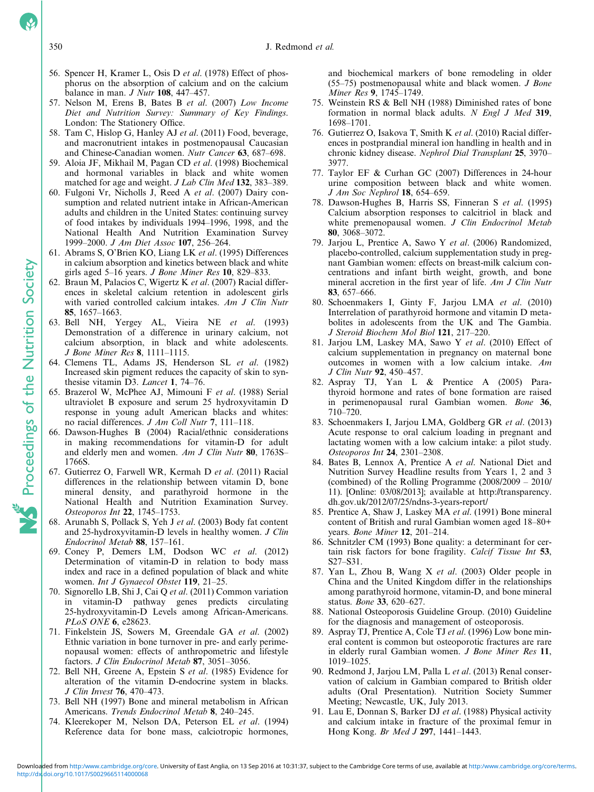- <span id="page-10-0"></span>56. Spencer H, Kramer L, Osis D et al. (1978) Effect of phosphorus on the absorption of calcium and on the calcium balance in man. J Nutr 108, 447–457.
- 57. Nelson M, Erens B, Bates B et al. (2007) Low Income Diet and Nutrition Survey: Summary of Key Findings. London: The Stationery Office.
- 58. Tam C, Hislop G, Hanley AJ et al. (2011) Food, beverage, and macronutrient intakes in postmenopausal Caucasian and Chinese-Canadian women. Nutr Cancer 63, 687–698.
- 59. Aloia JF, Mikhail M, Pagan CD et al. (1998) Biochemical and hormonal variables in black and white women matched for age and weight. *J Lab Clin Med* 132, 383–389.
- 60. Fulgoni Vr, Nicholls J, Reed A et al. (2007) Dairy consumption and related nutrient intake in African-American adults and children in the United States: continuing survey of food intakes by individuals 1994–1996, 1998, and the National Health And Nutrition Examination Survey 1999–2000. J Am Diet Assoc 107, 256–264.
- 61. Abrams S, O'Brien KO, Liang LK et al. (1995) Differences in calcium absorption and kinetics between black and white girls aged 5–16 years. J Bone Miner Res 10, 829–833.
- 62. Braun M, Palacios C, Wigertz K et al. (2007) Racial differences in skeletal calcium retention in adolescent girls with varied controlled calcium intakes. Am J Clin Nutr 85, 1657–1663.
- 63. Bell NH, Yergey AL, Vieira NE et al. (1993) Demonstration of a difference in urinary calcium, not calcium absorption, in black and white adolescents. J Bone Miner Res 8, 1111–1115.
- 64. Clemens TL, Adams JS, Henderson SL et al. (1982) Increased skin pigment reduces the capacity of skin to synthesise vitamin D3. Lancet 1, 74-76.
- 65. Brazerol W, McPhee AJ, Mimouni F et al. (1988) Serial ultraviolet B exposure and serum 25 hydroxyvitamin D response in young adult American blacks and whites: no racial differences. J Am Coll Nutr 7, 111–118.
- 66. Dawson-Hughes B (2004) Racial/ethnic considerations in making recommendations for vitamin-D for adult and elderly men and women. Am J Clin Nutr 80, 1763S– 1766S.
- 67. Gutierrez O, Farwell WR, Kermah D et al. (2011) Racial differences in the relationship between vitamin D, bone mineral density, and parathyroid hormone in the National Health and Nutrition Examination Survey. Osteoporos Int 22, 1745–1753.
- 68. Arunabh S, Pollack S, Yeh J et al. (2003) Body fat content and 25-hydroxyvitamin-D levels in healthy women. J Clin Endocrinol Metab 88, 157–161.
- 69. Coney P, Demers LM, Dodson WC et al. (2012) Determination of vitamin-D in relation to body mass index and race in a defined population of black and white women. Int J Gynaecol Obstet 119, 21-25.
- 70. Signorello LB, Shi J, Cai Q et al. (2011) Common variation in vitamin-D pathway genes predicts circulating 25-hydroxyvitamin-D Levels among African-Americans. PLoS ONE 6, e28623.
- 71. Finkelstein JS, Sowers M, Greendale GA et al. (2002) Ethnic variation in bone turnover in pre- and early perimenopausal women: effects of anthropometric and lifestyle factors. J Clin Endocrinol Metab 87, 3051-3056.
- 72. Bell NH, Greene A, Epstein S et al. (1985) Evidence for alteration of the vitamin D-endocrine system in blacks. J Clin Invest 76, 470–473.
- 73. Bell NH (1997) Bone and mineral metabolism in African Americans. Trends Endocrinol Metab 8, 240–245.
- 74. Kleerekoper M, Nelson DA, Peterson EL et al. (1994) Reference data for bone mass, calciotropic hormones,

and biochemical markers of bone remodeling in older (55–75) postmenopausal white and black women. J Bone Miner Res 9, 1745–1749.

- 75. Weinstein RS & Bell NH (1988) Diminished rates of bone formation in normal black adults. N Engl J Med 319, 1698–1701.
- 76. Gutierrez O, Isakova T, Smith K et al. (2010) Racial differences in postprandial mineral ion handling in health and in chronic kidney disease. Nephrol Dial Transplant 25, 3970– 3977.
- 77. Taylor EF & Curhan GC (2007) Differences in 24-hour urine composition between black and white women. J Am Soc Nephrol 18, 654–659.
- 78. Dawson-Hughes B, Harris SS, Finneran S et al. (1995) Calcium absorption responses to calcitriol in black and white premenopausal women. J Clin Endocrinol Metab 80, 3068–3072.
- 79. Jarjou L, Prentice A, Sawo Y et al. (2006) Randomized, placebo-controlled, calcium supplementation study in pregnant Gambian women: effects on breast-milk calcium concentrations and infant birth weight, growth, and bone mineral accretion in the first year of life. Am J Clin Nutr 83, 657–666.
- 80. Schoenmakers I, Ginty F, Jarjou LMA et al. (2010) Interrelation of parathyroid hormone and vitamin D metabolites in adolescents from the UK and The Gambia. J Steroid Biochem Mol Biol 121, 217–220.
- 81. Jarjou LM, Laskey MA, Sawo Y et al. (2010) Effect of calcium supplementation in pregnancy on maternal bone outcomes in women with a low calcium intake. Am J Clin Nutr 92, 450–457.
- 82. Aspray TJ, Yan L & Prentice A (2005) Parathyroid hormone and rates of bone formation are raised in perimenopausal rural Gambian women. Bone 36, 710–720.
- 83. Schoenmakers I, Jarjou LMA, Goldberg GR et al. (2013) Acute response to oral calcium loading in pregnant and lactating women with a low calcium intake: a pilot study. Osteoporos Int 24, 2301–2308.
- 84. Bates B, Lennox A, Prentice A et al. National Diet and Nutrition Survey Headline results from Years 1, 2 and 3 (combined) of the Rolling Programme (2008/2009 – 2010/ 11). [Online: 03/08/2013]; available at http://transparency. dh.gov.uk/2012/07/25/ndns-3-years-report/
- 85. Prentice A, Shaw J, Laskey MA et al. (1991) Bone mineral content of British and rural Gambian women aged 18–80+ years. Bone Miner 12, 201–214.
- 86. Schnitzler CM (1993) Bone quality: a determinant for certain risk factors for bone fragility. Calcif Tissue Int 53, S27–S31.
- 87. Yan L, Zhou B, Wang X et al. (2003) Older people in China and the United Kingdom differ in the relationships among parathyroid hormone, vitamin-D, and bone mineral status. Bone 33, 620–627.
- 88. National Osteoporosis Guideline Group. (2010) Guideline for the diagnosis and management of osteoporosis.
- 89. Aspray TJ, Prentice A, Cole TJ et al. (1996) Low bone mineral content is common but osteoporotic fractures are rare in elderly rural Gambian women. J Bone Miner Res 11, 1019–1025.
- 90. Redmond J, Jarjou LM, Palla L et al. (2013) Renal conservation of calcium in Gambian compared to British older adults (Oral Presentation). Nutrition Society Summer Meeting; Newcastle, UK, July 2013.
- 91. Lau E, Donnan S, Barker DJ et al. (1988) Physical activity and calcium intake in fracture of the proximal femur in Hong Kong. Br Med J 297, 1441–1443.